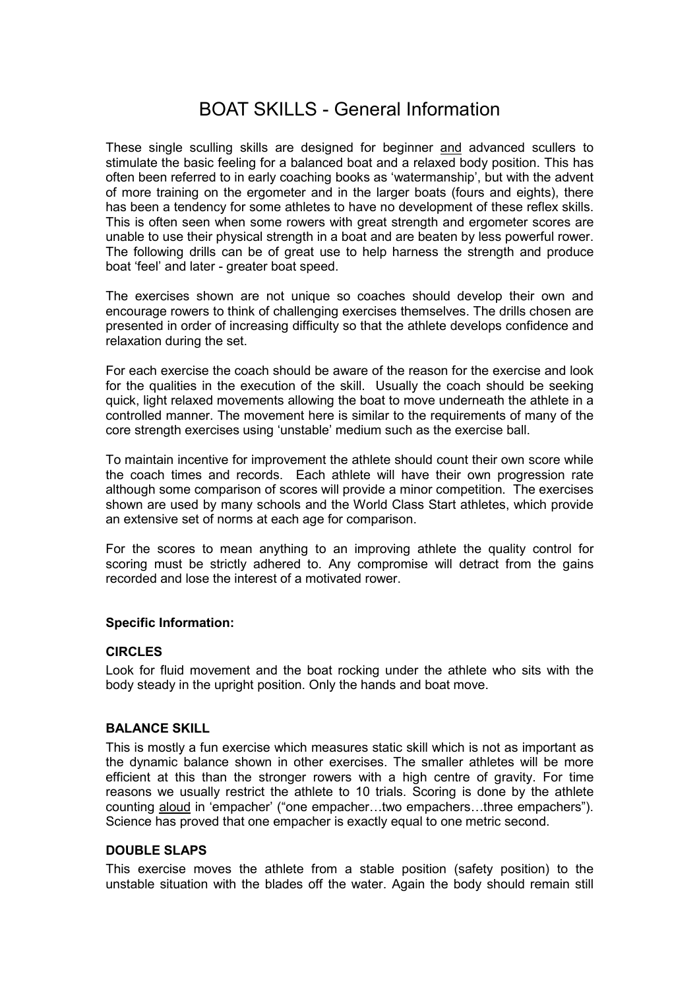# BOAT SKILLS - General Information

These single sculling skills are designed for beginner and advanced scullers to stimulate the basic feeling for a balanced boat and a relaxed body position. This has often been referred to in early coaching books as 'watermanship', but with the advent of more training on the ergometer and in the larger boats (fours and eights), there has been a tendency for some athletes to have no development of these reflex skills. This is often seen when some rowers with great strength and ergometer scores are unable to use their physical strength in a boat and are beaten by less powerful rower. The following drills can be of great use to help harness the strength and produce boat 'feel' and later - greater boat speed.

The exercises shown are not unique so coaches should develop their own and encourage rowers to think of challenging exercises themselves. The drills chosen are presented in order of increasing difficulty so that the athlete develops confidence and relaxation during the set.

For each exercise the coach should be aware of the reason for the exercise and look for the qualities in the execution of the skill. Usually the coach should be seeking quick, light relaxed movements allowing the boat to move underneath the athlete in a controlled manner. The movement here is similar to the requirements of many of the core strength exercises using 'unstable' medium such as the exercise ball.

To maintain incentive for improvement the athlete should count their own score while the coach times and records. Each athlete will have their own progression rate although some comparison of scores will provide a minor competition. The exercises shown are used by many schools and the World Class Start athletes, which provide an extensive set of norms at each age for comparison.

For the scores to mean anything to an improving athlete the quality control for scoring must be strictly adhered to. Any compromise will detract from the gains recorded and lose the interest of a motivated rower.

# **Specific Information:**

## **CIRCLES**

Look for fluid movement and the boat rocking under the athlete who sits with the body steady in the upright position. Only the hands and boat move.

#### **BALANCE SKILL**

This is mostly a fun exercise which measures static skill which is not as important as the dynamic balance shown in other exercises. The smaller athletes will be more efficient at this than the stronger rowers with a high centre of gravity. For time reasons we usually restrict the athlete to 10 trials. Scoring is done by the athlete counting aloud in 'empacher' ("one empacher...two empachers...three empachers"). Science has proved that one empacher is exactly equal to one metric second.

## **DOUBLE SLAPS**

This exercise moves the athlete from a stable position (safety position) to the unstable situation with the blades off the water. Again the body should remain still